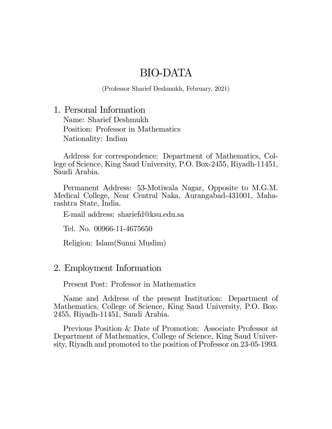# BIO-DATA

(Professor Sharief Deshmukh, February, 2021)

1. Personal Information Name: Sharief Deshmukh Position: Professor in Mathematics Nationality: Indian

Address for correspondence: Department of Mathematics, College of Science, King Saud University, P.O. Box-2455, Riyadh-11451, Saudi Arabia.

Permanent Address: 53-Motiwala Nagar, Opposite to M.G.M. Medical College, Near Central Naka, Aurangabad-431001, Maharashtra State, India.

E-mail address: shariefd@ksu.edu.sa

Tel. No. 00966-11-4675650

Religion: Islam(Sunni Muslim)

#### 2. Employment Information

Present Post: Professor in Mathematics

Name and Address of the present Institution: Department of Mathematics, College of Science, King Saud University, P.O. Box-2455, Riyadh-11451, Saudi Arabia.

Previous Position & Date of Promotion: Associate Professor at Department of Mathematics, College of Science, King Saud University, Riyadh and promoted to the position of Professor on 23-05-1993.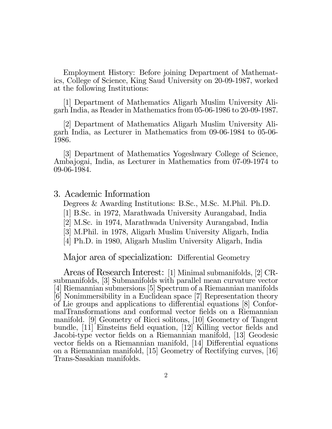Employment History: Before joining Department of Mathematics, College of Science, King Saud University on 20-09-1987, worked at the following Institutions:

[1] Department of Mathematics Aligarh Muslim University Aligarh India, as Reader in Mathematics from 05-06-1986 to 20-09-1987.

[2] Department of Mathematics Aligarh Muslim University Aligarh India, as Lecturer in Mathematics from 09-06-1984 to 05-06- 1986.

[3] Department of Mathematics Yogeshwary College of Science, Ambajogai, India, as Lecturer in Mathematics from 07-09-1974 to 09-06-1984.

3. Academic Information

Degrees & Awarding Institutions: B.Sc., M.Sc. M.Phil. Ph.D.

- [1] B.Sc. in 1972, Marathwada University Aurangabad, India
- [2] M.Sc. in 1974, Marathwada University Aurangabad, India
- [3] M.Phil. in 1978, Aligarh Muslim University Aligarh, India
- [4] Ph.D. in 1980, Aligarh Muslim University Aligarh, India

Major area of specialization: Differential Geometry

Areas of Research Interest: [1] Minimal submanifolds, [2] CRsubmanifolds, [3] Submanifolds with parallel mean curvature vector [4] Riemannian submersions [5] Spectrum of a Riemannian manifolds [6] Nonimmersibility in a Euclidean space [7] Representation theory of Lie groups and applications to differential equations [8] ConformalTransformations and conformal vector Öelds on a Riemannian manifold. [9] Geometry of Ricci solitons, [10] Geometry of Tangent bundle, [11] Einsteins field equation, [12] Killing vector fields and Jacobi-type vector fields on a Riemannian manifold, [13] Geodesic vector fields on a Riemannian manifold, [14] Differential equations on a Riemannian manifold, [15] Geometry of Rectifying curves, [16] Trans-Sasakian manifolds.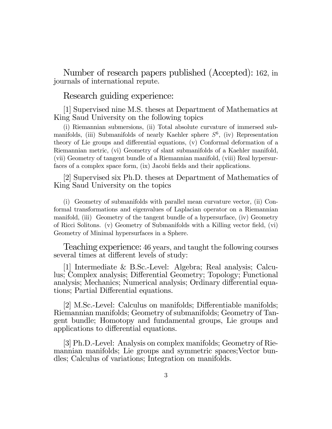Number of research papers published (Accepted): 162, in journals of international repute.

Research guiding experience:

[1] Supervised nine M.S. theses at Department of Mathematics at King Saud University on the following topics

(i) Riemannian submersions, (ii) Total absolute curvature of immersed submanifolds, (iii) Submanifolds of nearly Kaehler sphere  $S^6$ , (iv) Representation theory of Lie groups and differential equations,  $(v)$  Conformal deformation of a Riemannian metric, (vi) Geometry of slant submanifolds of a Kaehler manifold, (vii) Geometry of tangent bundle of a Riemannian manifold, (viii) Real hypersurfaces of a complex space form, (ix) Jacobi fields and their applications.

[2] Supervised six Ph.D. theses at Department of Mathematics of King Saud University on the topics

(i) Geometry of submanifolds with parallel mean curvature vector, (ii) Conformal transformations and eigenvalues of Laplacian operator on a Riemannian manifold, (iii) Geometry of the tangent bundle of a hypersurface, (iv) Geometry of Ricci Solitons. (v) Geometry of Submanifolds with a Killing vector field, (vi) Geometry of Minimal hypersurfaces in a Sphere.

Teaching experience: 46 years, and taught the following courses several times at different levels of study:

[1] Intermediate & B.Sc.-Level: Algebra; Real analysis; Calculus; Complex analysis; Differential Geometry; Topology; Functional analysis; Mechanics; Numerical analysis; Ordinary differential equations; Partial Differential equations.

[2] M.Sc.-Level: Calculus on manifolds; Differentiable manifolds; Riemannian manifolds; Geometry of submanifolds; Geometry of Tangent bundle; Homotopy and fundamental groups, Lie groups and applications to differential equations.

[3] Ph.D.-Level: Analysis on complex manifolds; Geometry of Riemannian manifolds; Lie groups and symmetric spaces;Vector bundles; Calculus of variations; Integration on manifolds.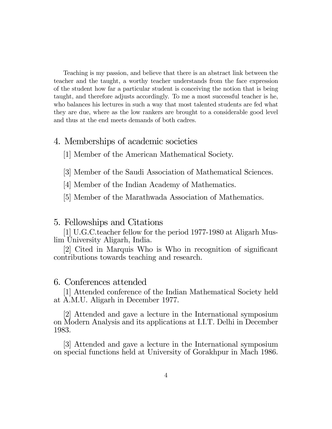Teaching is my passion, and believe that there is an abstract link between the teacher and the taught, a worthy teacher understands from the face expression of the student how far a particular student is conceiving the notion that is being taught, and therefore adjusts accordingly. To me a most successful teacher is he, who balances his lectures in such a way that most talented students are fed what they are due, where as the low rankers are brought to a considerable good level and thus at the end meets demands of both cadres.

## 4. Memberships of academic societies

[1] Member of the American Mathematical Society.

[3] Member of the Saudi Association of Mathematical Sciences.

[4] Member of the Indian Academy of Mathematics.

[5] Member of the Marathwada Association of Mathematics.

### 5. Fellowships and Citations

[1] U.G.C.teacher fellow for the period 1977-1980 at Aligarh Muslim University Aligarh, India.

 $|2|$  Cited in Marquis Who is Who in recognition of significant contributions towards teaching and research.

#### 6. Conferences attended

[1] Attended conference of the Indian Mathematical Society held at A.M.U. Aligarh in December 1977.

[2] Attended and gave a lecture in the International symposium on Modern Analysis and its applications at I.I.T. Delhi in December 1983.

[3] Attended and gave a lecture in the International symposium on special functions held at University of Gorakhpur in Mach 1986.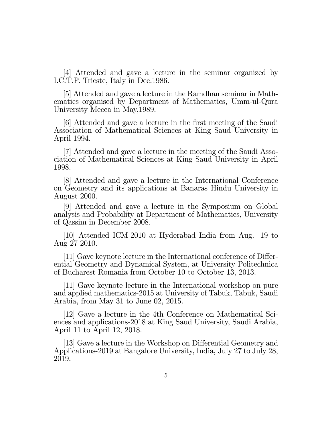[4] Attended and gave a lecture in the seminar organized by I.C.T.P. Trieste, Italy in Dec.1986.

[5] Attended and gave a lecture in the Ramdhan seminar in Mathematics organised by Department of Mathematics, Umm-ul-Qura University Mecca in May,1989.

[6] Attended and gave a lecture in the Örst meeting of the Saudi Association of Mathematical Sciences at King Saud University in April 1994.

[7] Attended and gave a lecture in the meeting of the Saudi Association of Mathematical Sciences at King Saud University in April 1998.

[8] Attended and gave a lecture in the International Conference on Geometry and its applications at Banaras Hindu University in August 2000.

[9] Attended and gave a lecture in the Symposium on Global analysis and Probability at Department of Mathematics, University of Qassim in December 2008.

[10] Attended ICM-2010 at Hyderabad India from Aug. 19 to Aug 27 2010.

[11] Gave keynote lecture in the International conference of Differential Geometry and Dynamical System, at University Politechnica of Bucharest Romania from October 10 to October 13, 2013.

[11] Gave keynote lecture in the International workshop on pure and applied mathematics-2015 at University of Tabuk, Tabuk, Saudi Arabia, from May 31 to June 02, 2015.

[12] Gave a lecture in the 4th Conference on Mathematical Sciences and applications-2018 at King Saud University, Saudi Arabia, April 11 to April 12, 2018.

[13] Gave a lecture in the Workshop on Differential Geometry and Applications-2019 at Bangalore University, India, July 27 to July 28, 2019.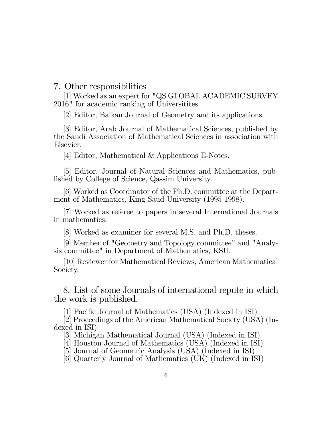7. Other responsibilities

[1] Worked as an expert for "QS GLOBAL ACADEMIC SURVEY 2016" for academic ranking of Universitites.

[2] Editor, Balkan Journal of Geometry and its applications

[3] Editor, Arab Journal of Mathematical Sciences, published by the Saudi Association of Mathematical Sciences in association with Elsevier.

[4] Editor, Mathematical & Applications E-Notes.

[5] Editor, Journal of Natural Sciences and Mathematics, published by College of Science, Qassim University.

[6] Worked as Coordinator of the Ph.D. committee at the Department of Mathematics, King Saud University (1995-1998).

[7] Worked as referee to papers in several International Journals in mathematics.

[8] Worked as examiner for several M.S. and Ph.D. theses.

[9] Member of "Geometry and Topology committee" and "Analysis committee" in Department of Mathematics, KSU.

[10] Reviewer for Mathematical Reviews, American Mathematical Society.

8. List of some Journals of international repute in which the work is published.

[1] Pacific Journal of Mathematics (USA) (Indexed in ISI)

[2] Proceedings of the American Mathematical Society (USA) (Indexed in ISI)

[3] Michigan Mathematical Journal (USA) (Indexed in ISI)

[4] Houston Journal of Mathematics (USA) (Indexed in ISI)

[5] Journal of Geometric Analysis (USA) (Indexed in ISI)

[6] Quarterly Journal of Mathematics (UK) (Indexed in ISI)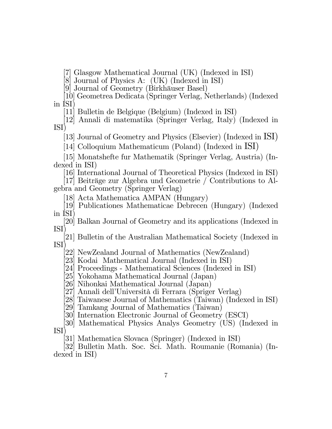[7] Glasgow Mathematical Journal (UK) (Indexed in ISI)

[8] Journal of Physics A: (UK) (Indexed in ISI)

[9] Journal of Geometry (Birkhäuser Basel)

[10] Geometrea Dedicata (Springer Verlag, Netherlands) (Indexed in ISI)

[11] Bulletin de Belgique (Belgium) (Indexed in ISI)

[12] Annali di matematika (Springer Verlag, Italy) (Indexed in ISI)

[13] Journal of Geometry and Physics (Elsevier) (Indexed in ISI)

[14] Colloquium Mathematicum (Poland) (Indexed in ISI)

[15] Monatshefte fur Mathematik (Springer Verlag, Austria) (Indexed in ISI)

[16] International Journal of Theoretical Physics (Indexed in ISI)

[17] Beiträge zur Algebra und Geometrie / Contributions to Algebra and Geometry (Springer Verlag)

[18] Acta Mathematica AMPAN (Hungary)

[19] Publicationes Mathematicae Debrecen (Hungary) (Indexed in ISI)

[20] Balkan Journal of Geometry and its applications (Indexed in ISI)

[21] Bulletin of the Australian Mathematical Society (Indexed in ISI)

[22] NewZealand Journal of Mathematics (NewZealand)

[23] Kodai Mathematical Journal (Indexed in ISI)

[24] Proceedings - Mathematical Sciences (Indexed in ISI)

[25] Yokohama Mathematical Journal (Japan)

[26] Nihonkai Mathematical Journal (Japan)

[27] Annali dell'Università di Ferrara (Spriger Verlag)

[28] Taiwanese Journal of Mathematics (Taiwan) (Indexed in ISI)

[29] Tamkang Journal of Mathematics (Taiwan)

[30] Internation Electronic Journal of Geometry (ESCI)

[30] Mathematical Physics Analys Geometry (US) (Indexed in ISI)

[31] Mathematica Slovaca (Springer) (Indexed in ISI)

[32] Bulletin Math. Soc. Sci. Math. Roumanie (Romania) (Indexed in ISI)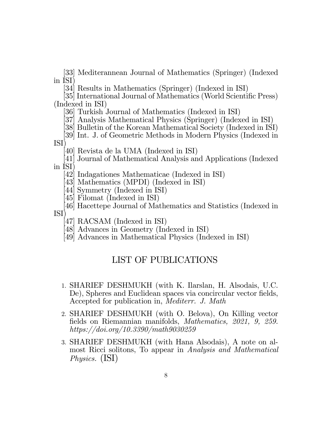[33] Mediterannean Journal of Mathematics (Springer) (Indexed in ISI)

[34] Results in Mathematics (Springer) (Indexed in ISI)

[35] International Journal of Mathematics (World Scientific Press) (Indexed in ISI)

[36] Turkish Journal of Mathematics (Indexed in ISI)

[37] Analysis Mathematical Physics (Springer) (Indexed in ISI)

[38] Bulletin of the Korean Mathematical Society (Indexed in ISI)

[39] Int. J. of Geometric Methods in Modern Physics (Indexed in ISI)

[40] Revista de la UMA (Indexed in ISI)

[41] Journal of Mathematical Analysis and Applications (Indexed in ISI)

[42] Indagationes Mathematicae (Indexed in ISI)

- [43] Mathematics (MPDI) (Indexed in ISI)
- [44] Symmetry (Indexed in ISI)
- [45] Filomat (Indexed in ISI)

[46] Hacettepe Journal of Mathematics and Statistics (Indexed in ISI)

- [47] RACSAM (Indexed in ISI)
- [48] Advances in Geometry (Indexed in ISI)
- [49] Advances in Mathematical Physics (Indexed in ISI)

## LIST OF PUBLICATIONS

- 1. SHARIEF DESHMUKH (with K. Ilarslan, H. Alsodais, U.C. De), Spheres and Euclidean spaces via concircular vector fields, Accepted for publication in, Mediterr. J. Math
- 2. SHARIEF DESHMUKH (with O. Belova), On Killing vector fields on Riemannian manifolds, Mathematics, 2021, 9, 259. https://doi.org/10.3390/math9030259
- 3. SHARIEF DESHMUKH (with Hana Alsodais), A note on almost Ricci solitons, To appear in Analysis and Mathematical Physics. (ISI)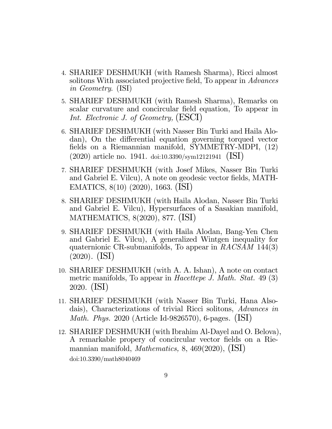- 4. SHARIEF DESHMUKH (with Ramesh Sharma), Ricci almost solitons With associated projective field, To appear in Advances in Geometry. (ISI)
- 5. SHARIEF DESHMUKH (with Ramesh Sharma), Remarks on scalar curvature and concircular field equation, To appear in Int. Electronic J. of Geometry, (ESCI)
- 6. SHARIEF DESHMUKH (with Nasser Bin Turki and Haila Alodan), On the differential equation governing torqued vector fields on a Riemannian manifold, SYMMETRY-MDPI, (12) (2020) article no. 1941. doi:10.3390/sym12121941 (ISI)
- 7. SHARIEF DESHMUKH (with Josef Mikes, Nasser Bin Turki and Gabriel E. Vilcu), A note on geodesic vector fields, MATH-EMATICS, 8(10) (2020), 1663. (ISI)
- 8. SHARIEF DESHMUKH (with Haila Alodan, Nasser Bin Turki and Gabriel E. Vilcu), Hypersurfaces of a Sasakian manifold, MATHEMATICS, 8(2020), 877. (ISI)
- 9. SHARIEF DESHMUKH (with Haila Alodan, Bang-Yen Chen and Gabriel E. Vilcu), A generalized Wintgen inequality for quaternionic CR-submanifolds, To appear in  $RACSAM$  144(3) (2020). (ISI)
- 10. SHARIEF DESHMUKH (with A. A. Ishan), A note on contact metric manifolds, To appear in *Hacettepe J. Math. Stat.* 49 (3) 2020. (ISI)
- 11. SHARIEF DESHMUKH (with Nasser Bin Turki, Hana Alsodais), Characterizations of trivial Ricci solitons, Advances in Math. Phys. 2020 (Article Id-9826570), 6-pages. (ISI)
- 12. SHARIEF DESHMUKH (with Ibrahim Al-Dayel and O. Belova), A remarkable propery of concircular vector fields on a Riemannian manifold, *Mathematics*, 8, 469(2020),  $(ISI)$ doi:10.3390/math8040469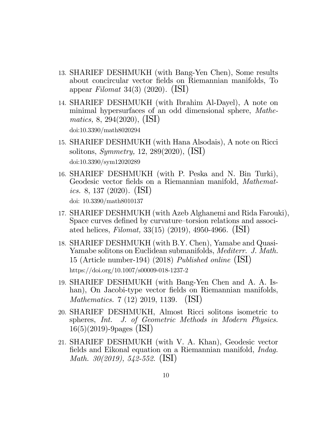- 13. SHARIEF DESHMUKH (with Bang-Yen Chen), Some results about concircular vector Öelds on Riemannian manifolds, To appear Filomat 34(3) (2020).  $(ISI)$
- 14. SHARIEF DESHMUKH (with Ibrahim Al-Dayel), A note on minimal hypersurfaces of an odd dimensional sphere, Mathematics, 8, 294(2020), (ISI) doi:10.3390/math8020294
- 15. SHARIEF DESHMUKH (with Hana Alsodais), A note on Ricci solitons, Symmetry, 12, 289(2020), (ISI) doi:10.3390/sym12020289
- 16. SHARIEF DESHMUKH (with P. Peska and N. Bin Turki), Geodesic vector fields on a Riemannian manifold, Mathemat*ics.* 8, 137 (2020). (ISI) doi: 10.3390/math8010137
- 17. SHARIEF DESHMUKH (with Azeb Alghanemi and Rida Farouki), Space curves defined by curvature–torsion relations and associated helices, *Filomat*, 33(15) (2019), 4950-4966. (ISI)
- 18. SHARIEF DESHMUKH (with B.Y. Chen), Yamabe and Quasi-Yamabe solitons on Euclidean submanifolds, *Mediterr. J. Math.* 15 (Article number-194) (2018) Published online (ISI) https://doi.org/10.1007/s00009-018-1237-2
- 19. SHARIEF DESHMUKH (with Bang-Yen Chen and A. A. Ishan), On Jacobi-type vector fields on Riemannian manifolds, Mathematics. 7 (12) 2019, 1139. (ISI)
- 20. SHARIEF DESHMUKH, Almost Ricci solitons isometric to spheres, Int. J. of Geometric Methods in Modern Physics. 16(5)(2019)-9pages (ISI)
- 21. SHARIEF DESHMUKH (with V. A. Khan), Geodesic vector fields and Eikonal equation on a Riemannian manifold, *Indag*. Math. 30(2019), 542-552. (ISI)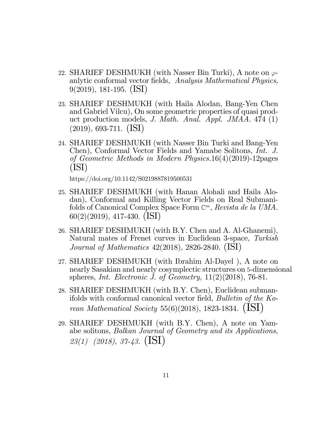- 22. SHARIEF DESHMUKH (with Nasser Bin Turki), A note on  $\varphi$ anlytic conformal vector fields, Analysis Mathematical Physics, 9(2019), 181-195. (ISI)
- 23. SHARIEF DESHMUKH (with Haila Alodan, Bang-Yen Chen and Gabriel Vilcu), On some geometric properties of quasi product production models, J. Math. Anal. Appl. JMAA. 474 (1) (2019), 693-711. (ISI)
- 24. SHARIEF DESHMUKH (with Nasser Bin Turki and Bang-Yen Chen), Conformal Vector Fields and Yamabe Solitons, Int. J. of Geometric Methods in Modern Physics.16(4)(2019)-12pages (ISI)

https://doi.org/10.1142/S0219887819500531

- 25. SHARIEF DESHMUKH (with Hanan Alohali and Haila Alodan), Conformal and Killing Vector Fields on Real Submanifolds of Canonical Complex Space Form  $\mathbb{C}^m$ , Revista de la UMA. 60(2)(2019), 417-430. (ISI)
- 26. SHARIEF DESHMUKH (with B.Y. Chen and A. Al-Ghanemi), Natural mates of Frenet curves in Euclidean 3-space, Turkish Journal of Mathematics 42(2018), 2826-2840. (ISI)
- 27. SHARIEF DESHMUKH (with Ibrahim Al-Dayel ), A note on nearly Sasakian and nearly cosymplectic structures on 5-dimensional spheres, Int. Electronic J. of Geometry,  $11(2)(2018)$ , 76-81.
- 28. SHARIEF DESHMUKH (with B.Y. Chen), Euclidean submanifolds with conformal canonical vector field, Bulletin of the Korean Mathematical Society 55(6)(2018), 1823-1834.  $(LSI)$
- 29. SHARIEF DESHMUKH (with B.Y. Chen), A note on Yamabe solitons, Balkan Journal of Geometry and its Applications,  $23(1)$  (2018), 37-43. (ISI)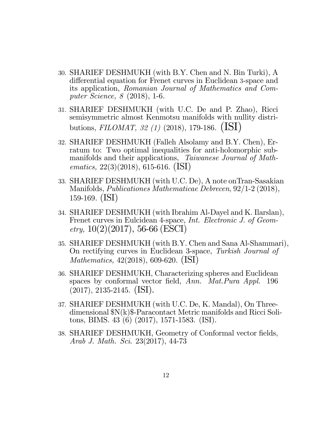- 30. SHARIEF DESHMUKH (with B.Y. Chen and N. Bin Turki), A differential equation for Frenet curves in Euclidean 3-space and its application, Romanian Journal of Mathematics and Computer Science, 8 (2018), 1-6.
- 31. SHARIEF DESHMUKH (with U.C. De and P. Zhao), Ricci semisymmetric almost Kenmotsu manifolds with nullity distributions, FILOMAT, 32 (1) (2018), 179-186.  $(ISI)$
- 32. SHARIEF DESHMUKH (Falleh Alsolamy and B.Y. Chen), Erratum to: Two optimal inequalities for anti-holomorphic submanifolds and their applications, Taiwanese Journal of Mathematics, 22(3)(2018), 615-616. (ISI)
- 33. SHARIEF DESHMUKH (with U.C. De), A note onTran-Sasakian Manifolds, Publicationes Mathematicae Debrecen, 92/1-2 (2018), 159-169. (ISI)
- 34. SHARIEF DESHMUKH (with Ibrahim Al-Dayel and K. Ilarslan), Frenet curves in Eulcidean 4-space, Int. Electronic J. of Geom- $_{etry.}$  10(2)(2017), 56-66 (ESCI)
- 35. SHARIEF DESHMUKH (with B.Y. Chen and Sana Al-Shammari), On rectifying curves in Euclidean 3-space, Turkish Journal of Mathematics, 42(2018), 609-620. (ISI)
- 36. SHARIEF DESHMUKH, Characterizing spheres and Euclidean spaces by conformal vector field, Ann. Mat.Pura Appl. 196  $(2017), 2135-2145.$  (ISI).
- 37. SHARIEF DESHMUKH (with U.C. De, K. Mandal), On Threedimensional \$N(k)\$-Paracontact Metric manifolds and Ricci Solitons, BIMS. 43 (6) (2017), 1571-1583. (ISI).
- 38. SHARIEF DESHMUKH, Geometry of Conformal vector fields, Arab J. Math. Sci. 23(2017), 44-73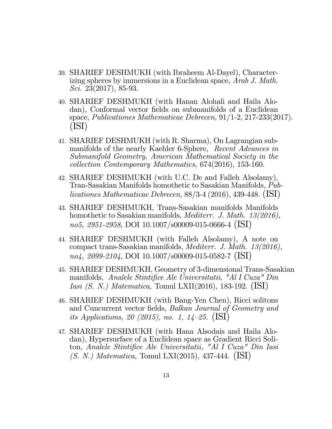- 39. SHARIEF DESHMUKH (with Ibraheem Al-Dayel), Characterizing spheres by immersions in a Euclidean space, Arab J. Math. Sci. 23(2017), 85-93.
- 40. SHARIEF DESHMUKH (with Hanan Alohali and Haila Alodan), Conformal vector fields on submanifolds of a Euclidean space, Publicationes Mathematicae Debrecen, 91/1-2, 217-233(2017). (ISI)
- 41. SHARIEF DESHMUKH (with R. Sharma), On Lagrangian submanifolds of the nearly Kaehler 6-Sphere, Recent Advances in Submanifold Geometry, American Mathematical Society in the collection Contemporary Mathematics, 674(2016), 153-160.
- 42. SHARIEF DESHMUKH (with U.C. De and Falleh Alsolamy), Tran-Sasakian Manifolds homothetic to Sasakian Manifolds, Publicationes Mathematicae Debrecen, 88/3-4 (2016), 439-448. (ISI)
- 43. SHARIEF DESHMUKH, Trans-Sasakian manifolds Manifolds homothetic to Sasakian manifolds, *Mediterr. J. Math.* 13(2016), no5, 2951-2958, DOI 10.1007/s00009-015-0666-4 (ISI)
- 44. SHARIEF DESHMUKH (with Falleh Alsolamy), A note on compact trans-Sasakian manifolds, Mediterr. J. Math. 13(2016),  $no4, 2099-2104, DOI 10.1007/s00009-015-0582-7 (ISI)$
- 45. SHARIEF DESHMUKH, Geometry of 3-dimensional Trans-Sasakian manifolds, Analele Stintifice Ale Universitatii, "Al I Cuza" Din Iasi (S. N.) Matematica, Tomul LXII(2016), 183-192. (ISI)
- 46. SHARIEF DESHMUKH (with Bang-Yen Chen), Ricci solitons and Cuncurrent vector fields, Balkan Journal of Geometry and its Applications, 20 (2015), no. 1,  $14-25$ . (ISI)
- 47. SHARIEF DESHMUKH (with Hana Alsodais and Haila Alodan), Hypersurface of a Euclidean space as Gradient Ricci Soliton, Analele Stintifice Ale Universitatii, "Al I Cuza" Din Iasi (S. N.) Matematica, Tomul LXI(2015), 437-444. (ISI)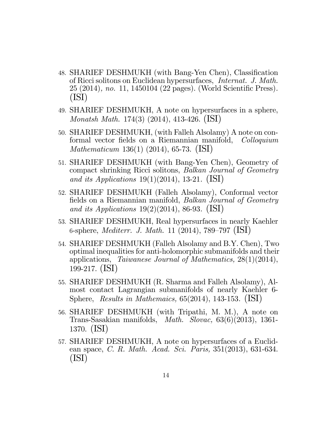- 48. SHARIEF DESHMUKH (with Bang-Yen Chen), Classification of Ricci solitons on Euclidean hypersurfaces, Internat. J. Math. 25 (2014), no. 11, 1450104 (22 pages). (World Scientific Press). (ISI)
- 49. SHARIEF DESHMUKH, A note on hypersurfaces in a sphere, Monatsh Math. 174(3) (2014), 413-426. (ISI)
- 50. SHARIEF DESHMUKH, (with Falleh Alsolamy) A note on conformal vector fields on a Riemannian manifold, Colloquium Mathematicum 136(1) (2014), 65-73. (ISI)
- 51. SHARIEF DESHMUKH (with Bang-Yen Chen), Geometry of compact shrinking Ricci solitons, Balkan Journal of Geometry and its Applications  $19(1)(2014)$ , 13-21. (ISI)
- 52. SHARIEF DESHMUKH (Falleh Alsolamy), Conformal vector fields on a Riemannian manifold, *Balkan Journal of Geometry* and its Applications  $19(2)(2014)$ , 86-93. (ISI)
- 53. SHARIEF DESHMUKH, Real hypersurfaces in nearly Kaehler 6-sphere, *Mediterr. J. Math.* 11 (2014), 789–797 (ISI)
- 54. SHARIEF DESHMUKH (Falleh Alsolamy and B.Y. Chen), Two optimal inequalities for anti-holomorphic submanifolds and their applications, Taiwanese Journal of Mathematics, 28(1)(2014), 199-217. (ISI)
- 55. SHARIEF DESHMUKH (R. Sharma and Falleh Alsolamy), Almost contact Lagrangian submanifolds of nearly Kaehler 6- Sphere, Results in Mathemaics,  $65(2014)$ , 143-153. (ISI)
- 56. SHARIEF DESHMUKH (with Tripathi, M. M.), A note on Trans-Sasakian manifolds, Math. Slovac, 63(6)(2013), 1361- 1370. (ISI)
- 57. SHARIEF DESHMUKH, A note on hypersurfaces of a Euclidean space, *C. R. Math. Acad. Sci. Paris*, 351(2013), 631-634. (ISI)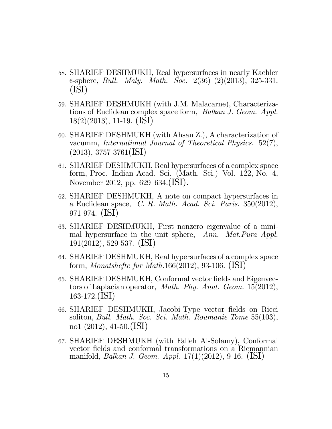- 58. SHARIEF DESHMUKH, Real hypersurfaces in nearly Kaehler 6-sphere, *Bull. Maly. Math. Soc.*  $2(36)$   $(2)(2013)$ ,  $325-331$ . (ISI)
- 59. SHARIEF DESHMUKH (with J.M. Malacarne), Characterizations of Euclidean complex space form, Balkan J. Geom. Appl. 18(2)(2013), 11-19. (ISI)
- 60. SHARIEF DESHMUKH (with Ahsan Z.), A characterization of vacumm, International Journal of Theoretical Physics. 52(7),  $(2013), 3757-3761$  (ISI)
- 61. SHARIEF DESHMUKH, Real hypersurfaces of a complex space form, Proc. Indian Acad. Sci. (Math. Sci.) Vol. 122, No. 4, November 2012, pp.  $629-634$ .(ISI).
- 62. SHARIEF DESHMUKH, A note on compact hypersurfaces in a Euclidean space, C. R. Math. Acad. Sci. Paris.  $350(2012)$ , 971-974. (ISI)
- 63. SHARIEF DESHMUKH, First nonzero eigenvalue of a minimal hypersurface in the unit sphere, Ann. Mat. Pura Appl. 191(2012), 529-537. (ISI)
- 64. SHARIEF DESHMUKH, Real hypersurfaces of a complex space form, *Monatshefte fur Math.*166(2012), 93-106. (ISI)
- 65. SHARIEF DESHMUKH, Conformal vector fields and Eigenvectors of Laplacian operator, Math. Phy. Anal. Geom. 15(2012), 163-172.(ISI)
- 66. SHARIEF DESHMUKH, Jacobi-Type vector Öelds on Ricci soliton, Bull. Math. Soc. Sci. Math. Roumanie Tome 55(103), no1 (2012), 41-50.(ISI)
- 67. SHARIEF DESHMUKH (with Falleh Al-Solamy), Conformal vector fields and conformal transformations on a Riemannian manifold, Balkan J. Geom. Appl. 17(1)(2012), 9-16. (ISI)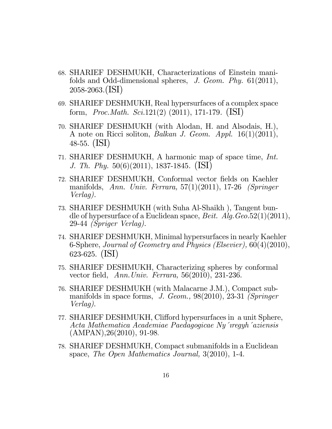- 68. SHARIEF DESHMUKH, Characterizations of Einstein manifolds and Odd-dimensional spheres, J. Geom. Phy. 61(2011), 2058-2063.(ISI)
- 69. SHARIEF DESHMUKH, Real hypersurfaces of a complex space form, *Proc.Math. Sci.*121(2) (2011), 171-179.  $(ISI)$
- 70. SHARIEF DESHMUKH (with Alodan, H. and Alsodais, H.), A note on Ricci soliton, Balkan J. Geom. Appl. 16(1)(2011), 48-55. (ISI)
- 71. SHARIEF DESHMUKH, A harmonic map of space time, Int. J. Th. Phy. 50(6)(2011), 1837-1845. (ISI)
- 72. SHARIEF DESHMUKH, Conformal vector fields on Kaehler manifolds, Ann. Univ. Ferrara, 57(1)(2011), 17-26 (Springer Verlag).
- 73. SHARIEF DESHMUKH (with Suha Al-Shaikh ), Tangent bundle of hypersurface of a Euclidean space, *Beit. Alg. Geo.*52(1)(2011), 29-44 (Spriger Verlag).
- 74. SHARIEF DESHMUKH, Minimal hypersurfaces in nearly Kaehler 6-Sphere, Journal of Geometry and Physics (Elsevier), 60(4)(2010), 623-625. (ISI)
- 75. SHARIEF DESHMUKH, Characterizing spheres by conformal vector field, Ann.Univ. Ferrara,  $56(2010)$ ,  $231-236$ .
- 76. SHARIEF DESHMUKH (with Malacarne J.M.), Compact submanifolds in space forms, J. Geom., 98(2010), 23-31 (Springer Verlag).
- 77. SHARIEF DESHMUKH, Clifford hypersurfaces in a unit Sphere, Acta Mathematica Academiae Paedagogicae Ny 'iregyh' aziensis (AMPAN),26(2010), 91-98.
- 78. SHARIEF DESHMUKH, Compact submanifolds in a Euclidean space, The Open Mathematics Journal,  $3(2010)$ , 1-4.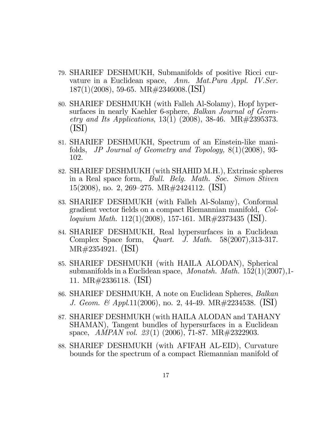- 79. SHARIEF DESHMUKH, Submanifolds of positive Ricci curvature in a Euclidean space, Ann. Mat. Pura Appl. IV. Ser. 187(1)(2008), 59-65. MR#2346008.(ISI)
- 80. SHARIEF DESHMUKH (with Falleh Al-Solamy), Hopf hypersurfaces in nearly Kaehler 6-sphere, *Balkan Journal of Geom*etry and Its Applications, 13(1) (2008), 38-46. MR#2395373. (ISI)
- 81. SHARIEF DESHMUKH, Spectrum of an Einstein-like manifolds, JP Journal of Geometry and Topology, 8(1)(2008), 93- 102.
- 82. SHARIEF DESHMUKH (with SHAHID M.H.), Extrinsic spheres in a Real space form, Bull. Belg. Math. Soc. Simon Stiven  $15(2008)$ , no. 2, 269–275. MR#2424112. (ISI)
- 83. SHARIEF DESHMUKH (with Falleh Al-Solamy), Conformal gradient vector fields on a compact Riemannian manifold, Colloquium Math. 112(1)(2008), 157-161. MR#2373435 (ISI).
- 84. SHARIEF DESHMUKH, Real hypersurfaces in a Euclidean Complex Space form, Quart. J. Math. 58(2007),313-317. MR#2354921. (ISI)
- 85. SHARIEF DESHMUKH (with HAILA ALODAN), Spherical submanifolds in a Euclidean space, *Monatsh. Math.*  $152(1)(2007)$ , 1-11. MR#2336118. (ISI)
- 86. SHARIEF DESHMUKH, A note on Euclidean Spheres, Balkan J. Geom. & Appl.11(2006), no. 2, 44-49. MR#2234538. (ISI)
- 87. SHARIEF DESHMUKH (with HAILA ALODAN and TAHANY SHAMAN), Tangent bundles of hypersurfaces in a Euclidean space,  $AMPAN$  vol. 23(1) (2006), 71-87. MR $#2322903$ .
- 88. SHARIEF DESHMUKH (with AFIFAH AL-EID), Curvature bounds for the spectrum of a compact Riemannian manifold of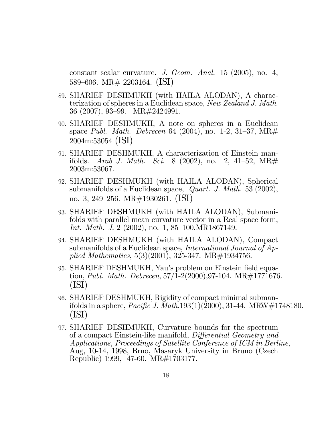constant scalar curvature. J. Geom. Anal. 15 (2005), no. 4, 589–606. MR# 2203164. (ISI)

- 89. SHARIEF DESHMUKH (with HAILA ALODAN), A characterization of spheres in a Euclidean space, New Zealand J. Math. 36 (2007), 93–99. MR#2424991.
- 90. SHARIEF DESHMUKH, A note on spheres in a Euclidean space Publ. Math. Debrecen 64 (2004), no. 1-2, 31-37, MR $#$ 2004m:53054 (ISI)
- 91. SHARIEF DESHMUKH, A characterization of Einstein manifolds. Arab J. Math. Sci. 8 (2002), no. 2, 41–52, MR# 2003m:53067.
- 92. SHARIEF DESHMUKH (with HAILA ALODAN), Spherical submanifolds of a Euclidean space, *Quart. J. Math.* 53 (2002), no. 3, 249–256. MR#1930261. (ISI)
- 93. SHARIEF DESHMUKH (with HAILA ALODAN), Submanifolds with parallel mean curvature vector in a Real space form, Int. Math. J. 2  $(2002)$ , no. 1, 85–100.MR1867149.
- 94. SHARIEF DESHMUKH (with HAILA ALODAN), Compact submanifolds of a Euclidean space, *International Journal of Ap*plied Mathematics,  $5(3)(2001)$ ,  $325-347$ . MR $\#1934756$ .
- 95. SHARIEF DESHMUKH, Yau's problem on Einstein field equation, *Publ. Math. Debrecen*,  $57/1-2(2000)$ ,  $97-104$ . MR $\#1771676$ . (ISI)
- 96. SHARIEF DESHMUKH, Rigidity of compact minimal submanifolds in a sphere, *Pacific J. Math.*193(1)(2000), 31-44. MRW#1748180. (ISI)
- 97. SHARIEF DESHMUKH, Curvature bounds for the spectrum of a compact Einstein-like manifold, Differential Geometry and Applications, Proceedings of Satellite Conference of ICM in Berline, Aug, 10-14, 1998, Brno, Masaryk University in Bruno (Czech Republic) 1999, 47-60. MR#1703177.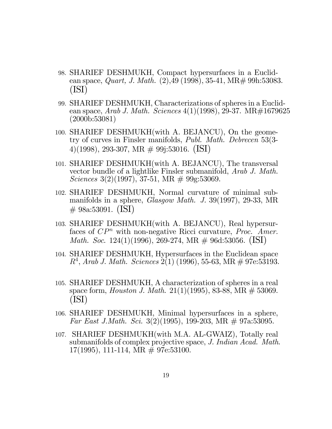- 98. SHARIEF DESHMUKH, Compact hypersurfaces in a Euclidean space, *Quart, J. Math.*  $(2),49$  (1998), 35-41, MR $\#$  99h: 53083. (ISI)
- 99. SHARIEF DESHMUKH, Characterizations of spheres in a Euclidean space, Arab J. Math. Sciences  $4(1)(1998)$ , 29-37. MR $\#1679625$ (2000b:53081)
- 100. SHARIEF DESHMUKH(with A. BEJANCU), On the geometry of curves in Finsler manifolds, Publ. Math. Debrecen 53(3- 4)(1998), 293-307, MR # 99j:53016. (ISI)
- 101. SHARIEF DESHMUKH(with A. BEJANCU), The transversal vector bundle of a lightlike Finsler submanifold, Arab J. Math. Sciences 3(2)(1997), 37-51, MR  $\#$  99g:53069.
- 102. SHARIEF DESHMUKH, Normal curvature of minimal submanifolds in a sphere, Glasgow Math. J. 39(1997), 29-33, MR  $\#$  98a:53091. (ISI)
- 103. SHARIEF DESHMUKH(with A. BEJANCU), Real hypersurfaces of  $\mathbb{CP}^n$  with non-negative Ricci curvature, *Proc. Amer. Math. Soc.* 124(1)(1996), 269-274, MR  $\#$  96d:53056. (ISI)
- 104. SHARIEF DESHMUKH, Hypersurfaces in the Euclidean space  $R^4$ , Arab J. Math. Sciences  $2(1)$  (1996), 55-63, MR  $\#$  97e:53193.
- 105. SHARIEF DESHMUKH, A characterization of spheres in a real space form, *Houston J. Math.*  $21(1)(1995)$ , 83-88, MR  $\#$  53069. (ISI)
- 106. SHARIEF DESHMUKH, Minimal hypersurfaces in a sphere, Far East J. Math. Sci. 3(2)(1995), 199-203, MR  $\#$  97a:53095.
- 107. SHARIEF DESHMUKH(with M.A. AL-GWAIZ), Totally real submanifolds of complex projective space, J. Indian Acad. Math. 17(1995), 111-114, MR  $\neq$  97e:53100.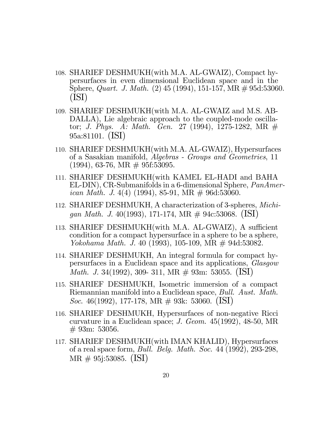- 108. SHARIEF DESHMUKH(with M.A. AL-GWAIZ), Compact hypersurfaces in even dimensional Euclidean space and in the Sphere, *Quart. J. Math.* (2) 45 (1994), 151-157, MR  $\#$  95d:53060. (ISI)
- 109. SHARIEF DESHMUKH(with M.A. AL-GWAIZ and M.S. AB-DALLA), Lie algebraic approach to the coupled-mode oscillator; J. Phys. A: Math. Gen. 27 (1994), 1275-1282, MR  $#$ 95a:81101. (ISI)
- 110. SHARIEF DESHMUKH(with M.A. AL-GWAIZ), Hypersurfaces of a Sasakian manifold, Algebras - Groups and Geometries, 11  $(1994)$ , 63-76, MR  $\#$  95f:53095.
- 111. SHARIEF DESHMUKH(with KAMEL EL-HADI and BAHA EL-DIN), CR-Submanifolds in a 6-dimensional Sphere, PanAmer*ican Math. J.* 4(4) (1994), 85-91, MR  $\#$  96d:53060.
- 112. SHARIEF DESHMUKH, A characterization of 3-spheres, Michigan Math. J. 40(1993), 171-174, MR  $\#$  94c:53068. (ISI)
- 113. SHARIEF DESHMUKH(with M.A. AL-GWAIZ), A sufficient condition for a compact hypersurface in a sphere to be a sphere, Yokohama Math. J. 40 (1993), 105-109, MR # 94d:53082.
- 114. SHARIEF DESHMUKH, An integral formula for compact hypersurfaces in a Euclidean space and its applications, Glasgow *Math. J.* 34(1992), 309- 311, MR  $\#$  93m: 53055. (ISI)
- 115. SHARIEF DESHMUKH, Isometric immersion of a compact Riemannian manifold into a Euclidean space, Bull. Aust. Math. Soc. 46(1992), 177-178, MR  $\#$  93k: 53060. (ISI)
- 116. SHARIEF DESHMUKH, Hypersurfaces of non-negative Ricci curvature in a Euclidean space; J. Geom. 45(1992), 48-50, MR  $# 93m: 53056.$
- 117. SHARIEF DESHMUKH(with IMAN KHALID), Hypersurfaces of a real space form, Bull. Belg. Math. Soc. 44 (1992), 293-298, MR # 95j:53085. (ISI)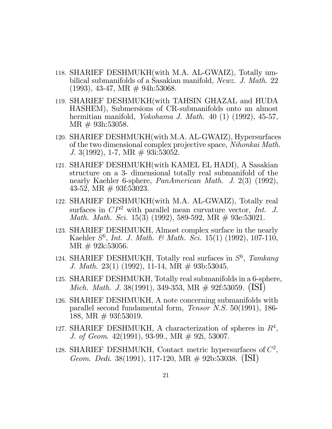- 118. SHARIEF DESHMUKH(with M.A. AL-GWAIZ), Totally umbilical submanifolds of a Sasakian manifold, Newz. J. Math. 22  $(1993), 43-47, MR \# 94h:53068.$
- 119. SHARIEF DESHMUKH(with TAHSIN GHAZAL and HUDA HASHEM), Submersions of CR-submanifolds onto an almost hermitian manifold, *Yokohama J. Math.* 40 (1) (1992), 45-57,  $MR \# 93h:53058.$
- 120. SHARIEF DESHMUKH(with M.A. AL-GWAIZ), Hypersurfaces of the two dimensional complex projective space, Nihonkai Math. J. 3(1992), 1-7, MR  $\#$  93i:53052.
- 121. SHARIEF DESHMUKH(with KAMEL EL HADI), A Sasakian structure on a 3- dimensional totally real submanifold of the nearly Kaehler 6-sphere, *PanAmerican Math. J.* 2(3) (1992), 43-52, MR  $# 93f:53023$ .
- 122. SHARIEF DESHMUKH(with M.A. AL-GWAIZ), Totally real surfaces in  $\mathbb{CP}^2$  with parallel mean curvature vector, Int. J. Math. Math. Sci. 15(3) (1992), 589-592, MR # 93e:53021.
- 123. SHARIEF DESHMUKH, Almost complex surface in the nearly Kaehler  $S^6$ , *Int. J. Math. & Math. Sci.* 15(1) (1992), 107-110, MR # 92k:53056.
- 124. SHARIEF DESHMUKH, Totally real surfaces in  $S^6$ , Tamkang J. Math. 23(1) (1992), 11-14, MR  $\#$  93b:53045.
- 125. SHARIEF DESHMUKH, Totally real submanifolds in a 6-sphere, *Mich. Math. J.* 38(1991), 349-353, MR  $\#$  92f:53059. (ISI)
- 126. SHARIEF DESHMUKH, A note concerning submanifolds with parallel second fundamental form, Tensor N.S. 50(1991), 186- 188, MR  $# 93f:53019$ .
- 127. SHARIEF DESHMUKH, A characterization of spheres in  $R<sup>4</sup>$ , J. of Geom. 42(1991), 93-99., MR # 92i, 53007.
- 128. SHARIEF DESHMUKH, Contact metric hypersurfaces of  $C^2$ , Geom. Dedi. 38(1991), 117-120, MR # 92b:53038. (ISI)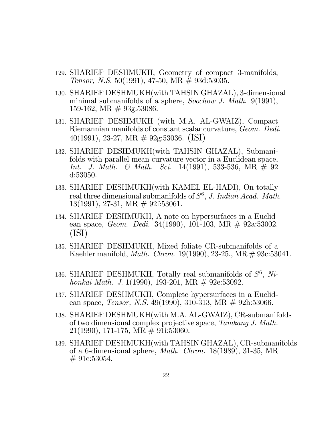- 129. SHARIEF DESHMUKH, Geometry of compact 3-manifolds, Tensor, N.S. 50(1991), 47-50, MR  $\#$  93d:53035.
- 130. SHARIEF DESHMUKH(with TAHSIN GHAZAL), 3-dimensional minimal submanifolds of a sphere, Soochow J. Math. 9(1991), 159-162, MR  $# 93g:53086$ .
- 131. SHARIEF DESHMUKH (with M.A. AL-GWAIZ), Compact Riemannian manifolds of constant scalar curvature, Geom. Dedi. 40(1991), 23-27, MR # 92g:53036. (ISI)
- 132. SHARIEF DESHMUKH(with TAHSIN GHAZAL), Submanifolds with parallel mean curvature vector in a Euclidean space, Int. J. Math. & Math. Sci. 14(1991), 533-536, MR  $\#$  92 d:53050.
- 133. SHARIEF DESHMUKH(with KAMEL EL-HADI), On totally real three dimensional submanifolds of  $S^6$ , J. Indian Acad. Math. 13(1991), 27-31, MR # 92f:53061.
- 134. SHARIEF DESHMUKH, A note on hypersurfaces in a Euclidean space, Geom. Dedi. 34(1990), 101-103, MR # 92a:53002. (ISI)
- 135. SHARIEF DESHMUKH, Mixed foliate CR-submanifolds of a Kaehler manifold, Math. Chron. 19(1990), 23-25., MR # 93c:53041.
- 136. SHARIEF DESHMUKH, Totally real submanifolds of  $S^6$ , Nihonkai Math. J. 1(1990), 193-201, MR  $\#$  92e:53092.
- 137. SHARIEF DESHMUKH, Complete hypersurfaces in a Euclidean space, *Tensor*, *N.S.* 49(1990), 310-313, MR  $\#$  92h:53066.
- 138. SHARIEF DESHMUKH(with M.A. AL-GWAIZ), CR-submanifolds of two dimensional complex projective space, Tamkang J. Math. 21(1990), 171-175, MR # 91i:53060.
- 139. SHARIEF DESHMUKH(with TAHSIN GHAZAL), CR-submanifolds of a 6-dimensional sphere, Math. Chron. 18(1989), 31-35, MR  $# 91e:53054.$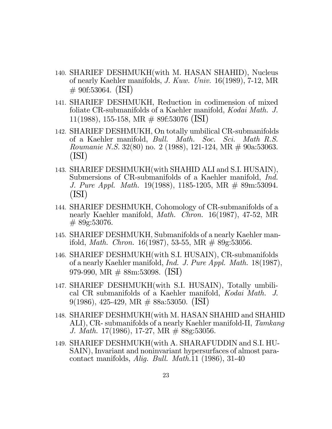- 140. SHARIEF DESHMUKH(with M. HASAN SHAHID), Nucleus of nearly Kaehler manifolds, J. Kuw. Univ. 16(1989), 7-12, MR  $\#$  90f:53064. (ISI)
- 141. SHARIEF DESHMUKH, Reduction in codimension of mixed foliate CR-submanifolds of a Kaehler manifold, Kodai Math. J. 11(1988), 155-158, MR # 89f:53076 (ISI)
- 142. SHARIEF DESHMUKH, On totally umbilical CR-submanifolds of a Kaehler manifold, Bull. Math. Soc. Sci. Math R.S. Roumanie N.S. 32(80) no. 2 (1988), 121-124, MR # 90a:53063. (ISI)
- 143. SHARIEF DESHMUKH(with SHAHID ALI and S.I. HUSAIN), Submersions of CR-submanifolds of a Kaehler manifold, *Ind.* J. Pure Appl. Math. 19(1988), 1185-1205, MR # 89m:53094. (ISI)
- 144. SHARIEF DESHMUKH, Cohomology of CR-submanifolds of a nearly Kaehler manifold, *Math. Chron.* 16(1987), 47-52, MR  $#89g:53076.$
- 145. SHARIEF DESHMUKH, Submanifolds of a nearly Kaehler manifold, *Math. Chron.* 16(1987), 53-55, MR  $\#$  89g:53056.
- 146. SHARIEF DESHMUKH(with S.I. HUSAIN), CR-submanifolds of a nearly Kaehler manifold, Ind. J. Pure Appl. Math. 18(1987), 979-990, MR # 88m:53098. (ISI)
- 147. SHARIEF DESHMUKH(with S.I. HUSAIN), Totally umbilical CR submanifolds of a Kaehler manifold, Kodai Math. J. 9(1986), 425-429, MR  $\#$  88a:53050. (ISI)
- 148. SHARIEF DESHMUKH(with M. HASAN SHAHID and SHAHID ALI), CR- submanifolds of a nearly Kaehler manifold-II, Tamkang J. Math. 17(1986), 17-27, MR # 88g:53056.
- 149. SHARIEF DESHMUKH(with A. SHARAFUDDIN and S.I. HU-SAIN), Invariant and noninvariant hypersurfaces of almost paracontact manifolds, Alig. Bull. Math.11 (1986), 31-40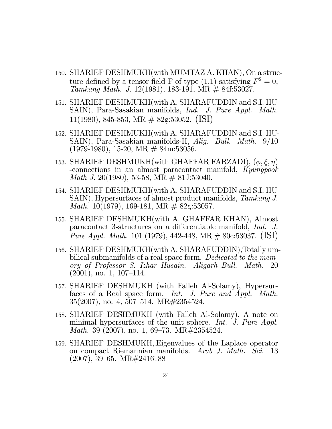- 150. SHARIEF DESHMUKH(with MUMTAZ A. KHAN), On a structure defined by a tensor field F of type  $(1,1)$  satisfying  $F^2 = 0$ , Tamkang Math. J. 12(1981), 183-191, MR  $\#$  84f:53027.
- 151. SHARIEF DESHMUKH(with A. SHARAFUDDIN and S.I. HU-SAIN), Para-Sasakian manifolds, Ind. J. Pure Appl. Math. 11(1980), 845-853, MR  $\#$  82g:53052. (ISI)
- 152. SHARIEF DESHMUKH(with A. SHARAFUDDIN and S.I. HU-SAIN), Para-Sasakian manifolds-II, Alig. Bull. Math. 9/10  $(1979-1980), 15-20, MR \# 84m: 53056.$
- 153. SHARIEF DESHMUKH(with GHAFFAR FARZADI),  $(\phi, \xi, \eta)$ -connections in an almost paracontact manifold, Kyungpook *Math J.* 20(1980), 53-58, MR  $\#$  81J:53040.
- 154. SHARIEF DESHMUKH(with A. SHARAFUDDIN and S.I. HU-SAIN), Hypersurfaces of almost product manifolds, Tamkang J. *Math.* 10(1979), 169-181, MR  $\#$  82g:53057.
- 155. SHARIEF DESHMUKH(with A. GHAFFAR KHAN), Almost paracontact 3-structures on a differentiable manifold, Ind. J. Pure Appl. Math. 101 (1979), 442-448, MR  $\#$  80c:53037. (ISI)
- 156. SHARIEF DESHMUKH(with A. SHARAFUDDIN),Totally umbilical submanifolds of a real space form. Dedicated to the memory of Professor S. Izhar Husain. Aligarh Bull. Math. 20  $(2001)$ , no. 1, 107–114.
- 157. SHARIEF DESHMUKH (with Falleh Al-Solamy), Hypersurfaces of a Real space form. Int. J. Pure and Appl. Math.  $35(2007)$ , no. 4, 507–514. MR#2354524.
- 158. SHARIEF DESHMUKH (with Falleh Al-Solamy), A note on minimal hypersurfaces of the unit sphere. Int. J. Pure Appl. *Math.* 39 (2007), no. 1, 69–73. MR $\#2354524$ .
- 159. SHARIEF DESHMUKH,.Eigenvalues of the Laplace operator on compact Riemannian manifolds. Arab J. Math. Sci. 13  $(2007), 39–65. \text{ MR} \# 2416188$